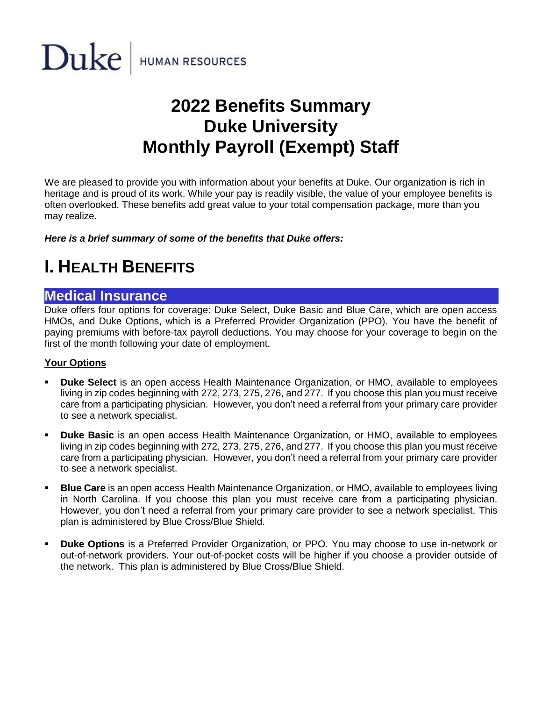

# **2022 Benefits Summary Duke University Monthly Payroll (Exempt) Staff**

We are pleased to provide you with information about your benefits at Duke. Our organization is rich in heritage and is proud of its work. While your pay is readily visible, the value of your employee benefits is often overlooked. These benefits add great value to your total compensation package, more than you may realize.

*Here is a brief summary of some of the benefits that Duke offers:*

# **I. HEALTH BENEFITS**

### **Medical Insurance**

Duke offers four options for coverage: Duke Select, Duke Basic and Blue Care, which are open access HMOs, and Duke Options, which is a Preferred Provider Organization (PPO). You have the benefit of paying premiums with before-tax payroll deductions. You may choose for your coverage to begin on the first of the month following your date of employment.

### **Your Options**

- **Duke Select** is an open access Health Maintenance Organization, or HMO, available to employees living in zip codes beginning with 272, 273, 275, 276, and 277. If you choose this plan you must receive care from a participating physician. However, you don't need a referral from your primary care provider to see a network specialist.
- **Duke Basic** is an open access Health Maintenance Organization, or HMO, available to employees living in zip codes beginning with 272, 273, 275, 276, and 277. If you choose this plan you must receive care from a participating physician. However, you don't need a referral from your primary care provider to see a network specialist.
- **E Blue Care** is an open access Health Maintenance Organization, or HMO, available to employees living in North Carolina. If you choose this plan you must receive care from a participating physician. However, you don't need a referral from your primary care provider to see a network specialist. This plan is administered by Blue Cross/Blue Shield.
- **Duke Options** is a Preferred Provider Organization, or PPO. You may choose to use in-network or out-of-network providers. Your out-of-pocket costs will be higher if you choose a provider outside of the network. This plan is administered by Blue Cross/Blue Shield.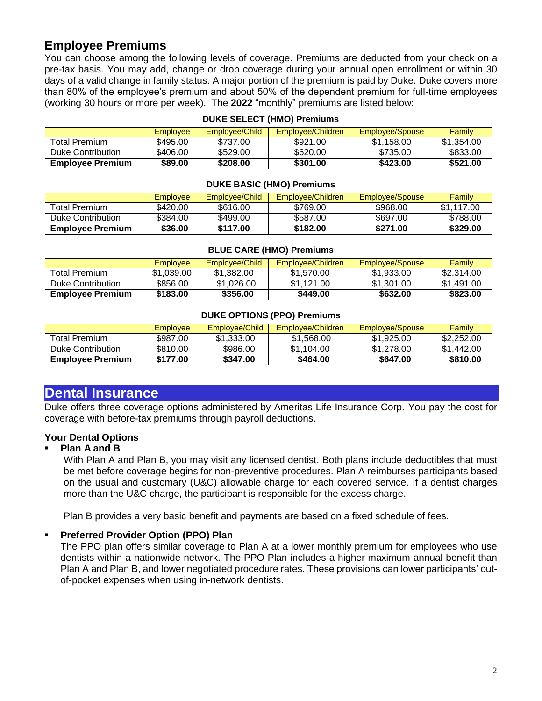# **Employee Premiums**

You can choose among the following levels of coverage. Premiums are deducted from your check on a pre-tax basis. You may add, change or drop coverage during your annual open enrollment or within 30 days of a valid change in family status. A major portion of the premium is paid by Duke. Duke covers more than 80% of the employee's premium and about 50% of the dependent premium for full-time employees (working 30 hours or more per week). The **2022** "monthly" premiums are listed below:

|                         | Employee | Employee/Child | Employee/Children | Employee/Spouse | Family     |
|-------------------------|----------|----------------|-------------------|-----------------|------------|
| Total Premium           | \$495.00 | \$737.00       | \$921.00          | \$1,158.00      | \$1,354.00 |
| Duke Contribution       | \$406.00 | \$529.00       | \$620.00          | \$735.00        | \$833.00   |
| <b>Employee Premium</b> | \$89.00  | \$208.00       | \$301.00          | \$423.00        | \$521.00   |

#### **DUKE SELECT (HMO) Premiums**

#### **DUKE BASIC (HMO) Premiums**

|                         | Employee | Employee/Child | <b>Employee/Children</b> | Employee/Spouse | Family     |
|-------------------------|----------|----------------|--------------------------|-----------------|------------|
| <b>Total Premium</b>    | \$420.00 | \$616.00       | \$769.00                 | \$968.00        | \$1.117.00 |
| Duke Contribution       | \$384.00 | \$499.00       | \$587.00                 | \$697.00        | \$788.00   |
| <b>Employee Premium</b> | \$36.00  | \$117.00       | \$182.00                 | \$271.00        | \$329,00   |

#### **BLUE CARE (HMO) Premiums**

|                         | Employee   | Employee/Child | <b>Employee/Children</b> | Employee/Spouse | Family     |
|-------------------------|------------|----------------|--------------------------|-----------------|------------|
| <b>Total Premium</b>    | \$1.039.00 | \$1.382.00     | \$1.570.00               | \$1,933.00      | \$2,314.00 |
| Duke Contribution       | \$856.00   | \$1,026.00     | \$1.121.00               | \$1.301.00      | \$1.491.00 |
| <b>Employee Premium</b> | \$183,00   | \$356.00       | \$449.00                 | \$632.00        | \$823.00   |

#### **DUKE OPTIONS (PPO) Premiums**

|                         | <b>Employee</b> | Employee/Child | Emplovee/Children | Employee/Spouse | Family     |
|-------------------------|-----------------|----------------|-------------------|-----------------|------------|
| Total Premium           | \$987.00        | \$1,333,00     | \$1,568,00        | \$1,925,00      | \$2,252.00 |
| Duke Contribution       | \$810.00        | \$986.00       | \$1.104.00        | \$1,278,00      | \$1.442.00 |
| <b>Employee Premium</b> | \$177.00        | \$347.00       | \$464.00          | \$647.00        | \$810.00   |

### **Dental Insurance**

Duke offers three coverage options administered by Ameritas Life Insurance Corp. You pay the cost for coverage with before-tax premiums through payroll deductions.

#### **Your Dental Options**

#### ▪ **Plan A and B**

With Plan A and Plan B, you may visit any licensed dentist. Both plans include deductibles that must be met before coverage begins for non-preventive procedures. Plan A reimburses participants based on the usual and customary (U&C) allowable charge for each covered service. If a dentist charges more than the U&C charge, the participant is responsible for the excess charge.

Plan B provides a very basic benefit and payments are based on a fixed schedule of fees.

#### ▪ **Preferred Provider Option (PPO) Plan**

The PPO plan offers similar coverage to Plan A at a lower monthly premium for employees who use dentists within a nationwide network. The PPO Plan includes a higher maximum annual benefit than Plan A and Plan B, and lower negotiated procedure rates. These provisions can lower participants' outof-pocket expenses when using in-network dentists.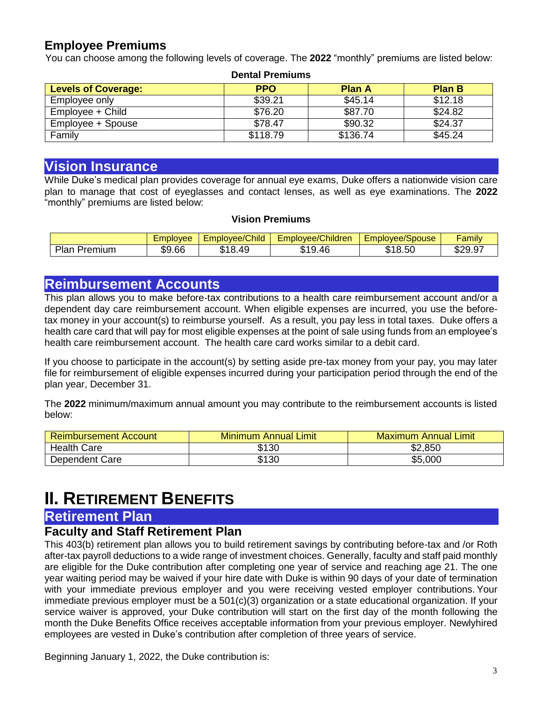### **Employee Premiums**

You can choose among the following levels of coverage. The **2022** "monthly" premiums are listed below:

| Denial Fielillullis        |            |               |               |  |  |
|----------------------------|------------|---------------|---------------|--|--|
| <b>Levels of Coverage:</b> | <b>PPO</b> | <b>Plan A</b> | <b>Plan B</b> |  |  |
| Employee only              | \$39.21    | \$45.14       | \$12.18       |  |  |
| Employee + Child           | \$76.20    | \$87.70       | \$24.82       |  |  |
| Employee + Spouse          | \$78.47    | \$90.32       | \$24.37       |  |  |
| Family                     | \$118.79   | \$136.74      | \$45.24       |  |  |

**Dental Premiums**

# **Vision Insurance**

While Duke's medical plan provides coverage for annual eye exams, Duke offers a nationwide vision care plan to manage that cost of eyeglasses and contact lenses, as well as eye examinations. The **2022** "monthly" premiums are listed below:

### **Vision Premiums**

|                             | ⊨mplovee | <b>Employee/Child</b>    | Employee/Children       | $\overline{\phantom{a}}$<br>Emplo<br>pvee/Spouse | <br><i>r</i> amil∨     |
|-----------------------------|----------|--------------------------|-------------------------|--------------------------------------------------|------------------------|
| Plan<br>remium <sup>,</sup> | \$9.66   | <b>ዮ</b> 4 O<br>49<br>J. | 9.46<br><u>ти</u><br>۰D | $ \sim$<br>O<br>ጡላ<br>8.5U<br>u                  | よつの<br>$\sim$<br>929.J |

# **Reimbursement Accounts**

This plan allows you to make before-tax contributions to a health care reimbursement account and/or a dependent day care reimbursement account. When eligible expenses are incurred, you use the beforetax money in your account(s) to reimburse yourself. As a result, you pay less in total taxes. Duke offers a health care card that will pay for most eligible expenses at the point of sale using funds from an employee's health care reimbursement account. The health care card works similar to a debit card.

If you choose to participate in the account(s) by setting aside pre-tax money from your pay, you may later file for reimbursement of eligible expenses incurred during your participation period through the end of the plan year, December 31.

The **2022** minimum/maximum annual amount you may contribute to the reimbursement accounts is listed below:

| <b>Reimbursement Account</b> | <b>Minimum Annual Limit</b> | ∕ Maximum Annual Limit |
|------------------------------|-----------------------------|------------------------|
| <b>Health Care</b>           | \$130                       | \$2,850                |
| Dependent Care               | \$130                       | \$5,000                |

# **II.** RETIREMENT BENEFITS

### **Retirement Plan**

### **Faculty and Staff Retirement Plan**

This 403(b) retirement plan allows you to build retirement savings by contributing before-tax and /or Roth after-tax payroll deductions to a wide range of investment choices. Generally, faculty and staff paid monthly are eligible for the Duke contribution after completing one year of service and reaching age 21. The one year waiting period may be waived if your hire date with Duke is within 90 days of your date of termination with your immediate previous employer and you were receiving vested employer contributions. Your immediate previous employer must be a 501(c)(3) organization or a state educational organization. If your service waiver is approved, your Duke contribution will start on the first day of the month following the month the Duke Benefits Office receives acceptable information from your previous employer. Newlyhired employees are vested in Duke's contribution after completion of three years of service.

Beginning January 1, 2022, the Duke contribution is: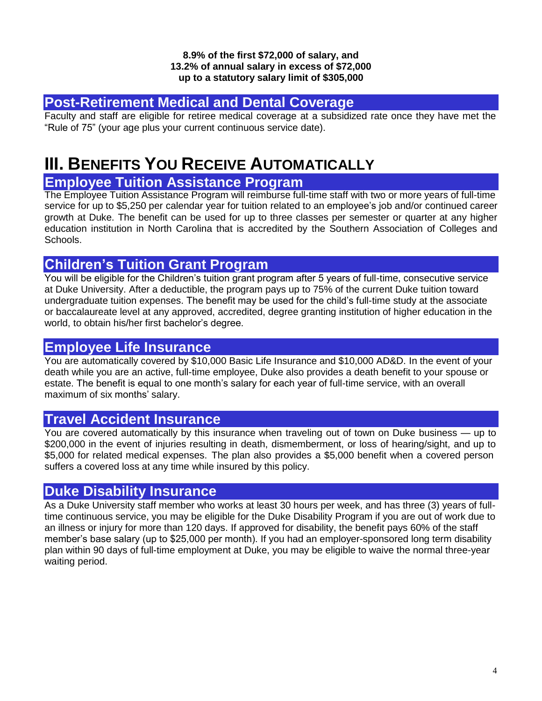#### **8.9% of the first \$72,000 of salary, and 13.2% of annual salary in excess of \$72,000 up to a statutory salary limit of \$305,000**

# **Post-Retirement Medical and Dental Coverage**

Faculty and staff are eligible for retiree medical coverage at a subsidized rate once they have met the "Rule of 75" (your age plus your current continuous service date).

# **III. BENEFITS YOU RECEIVE AUTOMATICALLY**

# **Employee Tuition Assistance Program**

The Employee Tuition Assistance Program will reimburse full-time staff with two or more years of full-time service for up to \$5,250 per calendar year for tuition related to an employee's job and/or continued career growth at Duke. The benefit can be used for up to three classes per semester or quarter at any higher education institution in North Carolina that is accredited by the Southern Association of Colleges and Schools.

### **Children's Tuition Grant Program**

You will be eligible for the Children's tuition grant program after 5 years of full-time, consecutive service at Duke University. After a deductible, the program pays up to 75% of the current Duke tuition toward undergraduate tuition expenses. The benefit may be used for the child's full-time study at the associate or baccalaureate level at any approved, accredited, degree granting institution of higher education in the world, to obtain his/her first bachelor's degree.

# **Employee Life Insurance**

You are automatically covered by \$10,000 Basic Life Insurance and \$10,000 AD&D. In the event of your death while you are an active, full-time employee, Duke also provides a death benefit to your spouse or estate. The benefit is equal to one month's salary for each year of full-time service, with an overall maximum of six months' salary.

# **Travel Accident Insurance**

You are covered automatically by this insurance when traveling out of town on Duke business — up to \$200,000 in the event of injuries resulting in death, dismemberment, or loss of hearing/sight, and up to \$5,000 for related medical expenses. The plan also provides a \$5,000 benefit when a covered person suffers a covered loss at any time while insured by this policy.

# **Duke Disability Insurance**

As a Duke University staff member who works at least 30 hours per week, and has three (3) years of fulltime continuous service, you may be eligible for the Duke Disability Program if you are out of work due to an illness or injury for more than 120 days. If approved for disability, the benefit pays 60% of the staff member's base salary (up to \$25,000 per month). If you had an employer-sponsored long term disability plan within 90 days of full-time employment at Duke, you may be eligible to waive the normal three-year waiting period.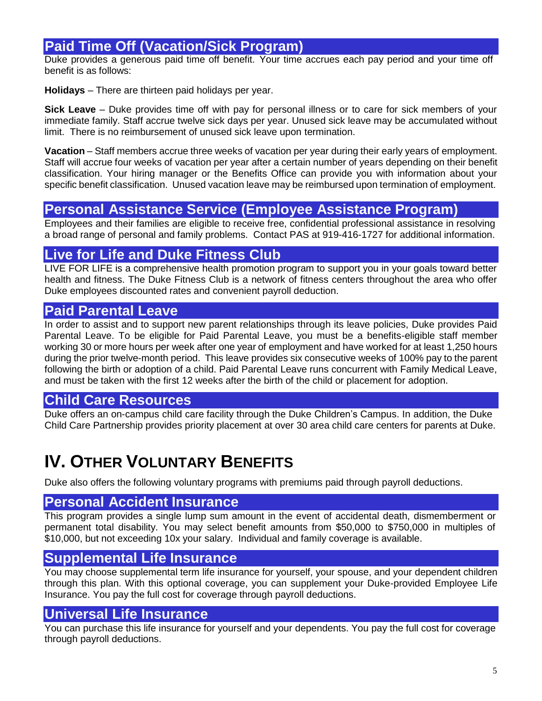# **Paid Time Off (Vacation/Sick Program)**

Duke provides a generous paid time off benefit. Your time accrues each pay period and your time off benefit is as follows:

**Holidays** – There are thirteen paid holidays per year.

**Sick Leave** – Duke provides time off with pay for personal illness or to care for sick members of your immediate family. Staff accrue twelve sick days per year. Unused sick leave may be accumulated without limit. There is no reimbursement of unused sick leave upon termination.

**Vacation** – Staff members accrue three weeks of vacation per year during their early years of employment. Staff will accrue four weeks of vacation per year after a certain number of years depending on their benefit classification. Your hiring manager or the Benefits Office can provide you with information about your specific benefit classification. Unused vacation leave may be reimbursed upon termination of employment.

# **Personal Assistance Service (Employee Assistance Program)**

Employees and their families are eligible to receive free, confidential professional assistance in resolving a broad range of personal and family problems. Contact PAS at 919-416-1727 for additional information.

# **Live for Life and Duke Fitness Club**

LIVE FOR LIFE is a comprehensive health promotion program to support you in your goals toward better health and fitness. The Duke Fitness Club is a network of fitness centers throughout the area who offer Duke employees discounted rates and convenient payroll deduction.

# **Paid Parental Leave**

In order to assist and to support new parent relationships through its leave policies, Duke provides Paid Parental Leave. To be eligible for Paid Parental Leave, you must be a benefits-eligible staff member working 30 or more hours per week after one year of employment and have worked for at least 1,250 hours during the prior twelve-month period. This leave provides six consecutive weeks of 100% pay to the parent following the birth or adoption of a child. Paid Parental Leave runs concurrent with Family Medical Leave, and must be taken with the first 12 weeks after the birth of the child or placement for adoption.

# **Child Care Resources**

Duke offers an on-campus child care facility through the Duke Children's Campus. In addition, the Duke Child Care Partnership provides priority placement at over 30 area child care centers for parents at Duke.

# **IV. OTHER VOLUNTARY BENEFITS**

Duke also offers the following voluntary programs with premiums paid through payroll deductions.

# **Personal Accident Insurance**

This program provides a single lump sum amount in the event of accidental death, dismemberment or permanent total disability. You may select benefit amounts from \$50,000 to \$750,000 in multiples of \$10,000, but not exceeding 10x your salary. Individual and family coverage is available.

# **Supplemental Life Insurance**

You may choose supplemental term life insurance for yourself, your spouse, and your dependent children through this plan. With this optional coverage, you can supplement your Duke-provided Employee Life Insurance. You pay the full cost for coverage through payroll deductions.

# **Universal Life Insurance**

You can purchase this life insurance for yourself and your dependents. You pay the full cost for coverage through payroll deductions.